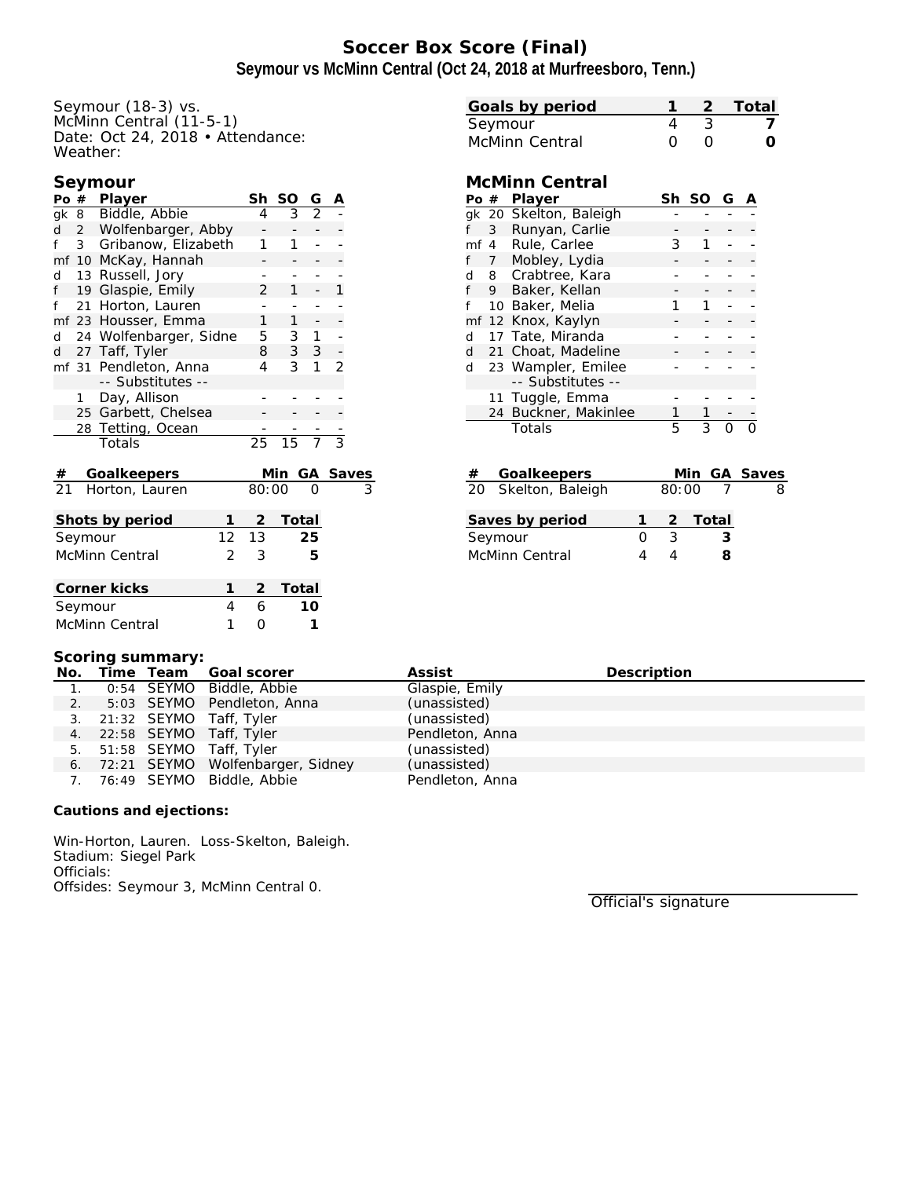# **Soccer Box Score (Final) Seymour vs McMinn Central (Oct 24, 2018 at Murfreesboro, Tenn.)**

Seymour (18-3) vs. McMinn Central (11-5-1) Date: Oct 24, 2018 • Attendance: Weather:

| Seymour |
|---------|
|---------|

| Po #            |                | Player                 |    | Sh              | SO              | G              | Α              |              |
|-----------------|----------------|------------------------|----|-----------------|-----------------|----------------|----------------|--------------|
|                 |                | gk 8 Biddle, Abbie     |    | 4               | 3               | $\overline{2}$ |                |              |
| d               | $2^{\circ}$    | Wolfenbarger, Abby     |    |                 |                 |                |                |              |
| f               | 3 <sup>7</sup> | Gribanow, Elizabeth    |    | 1               | 1               |                |                |              |
|                 |                | mf 10 McKay, Hannah    |    |                 |                 |                |                |              |
| d               |                | 13 Russell, Jory       |    |                 |                 |                |                |              |
| f               |                | 19 Glaspie, Emily      |    | $\overline{2}$  | 1               |                | 1              |              |
| f               |                | 21 Horton, Lauren      |    |                 |                 |                |                |              |
|                 |                | mf 23 Housser, Emma    |    | $\mathbf{1}$    | $\mathbf{1}$    |                | -              |              |
| d               |                | 24 Wolfenbarger, Sidne |    | 5               | 3               | 1              |                |              |
| d               | 27             | Taff, Tyler            |    | 8               | 3               | 3              |                |              |
|                 |                | mf 31 Pendleton, Anna  |    | 4               | 3               | 1              | $\mathfrak{D}$ |              |
|                 |                | -- Substitutes --      |    |                 |                 |                |                |              |
|                 | 1.             | Day, Allison           |    |                 |                 |                |                |              |
|                 |                | 25 Garbett, Chelsea    |    |                 |                 |                |                |              |
|                 | 28             | Tetting, Ocean         |    |                 |                 |                |                |              |
|                 |                | Totals                 |    | $\overline{25}$ | $\overline{15}$ |                | $\overline{3}$ |              |
|                 |                | Goalkeepers            |    |                 | <u>Min</u>      | GA             |                | <b>Saves</b> |
| $\frac{\#}{21}$ |                | Horton, Lauren         |    | 80:00           |                 |                |                |              |
|                 |                | Shots by period        | 1  | 2               | Total           |                |                |              |
|                 |                |                        | 12 | 13              |                 | 25             |                |              |
| Seymour         |                |                        |    |                 |                 |                |                |              |
| McMinn Central  |                | 2                      | 3  |                 | 5               |                |                |              |
|                 |                | Corner kicks           | 1  | $\overline{2}$  | Total           |                |                |              |
|                 | Seymour        |                        | 4  | 6               |                 | 10             |                |              |
|                 |                | McMinn Central         | 1  | 0               |                 | 1              |                |              |

| Goals by period |  | 2 Total |
|-----------------|--|---------|
| Seymour         |  |         |
| McMinn Central  |  |         |

### **McMinn Central**

| Po # |   | Player                 | Sh | <sub>SO</sub> | G |  |
|------|---|------------------------|----|---------------|---|--|
|      |   | gk 20 Skelton, Baleigh |    |               |   |  |
| f    | 3 | Runyan, Carlie         |    |               |   |  |
| mf 4 |   | Rule, Carlee           | З  |               |   |  |
| f    |   | 7 Mobley, Lydia        |    |               |   |  |
|      |   | d 8 Crabtree, Kara     |    |               |   |  |
| f    | 9 | Baker, Kellan          |    |               |   |  |
| f    |   | 10 Baker, Melia        |    |               |   |  |
|      |   | mf 12 Knox, Kaylyn     |    |               |   |  |
| d    |   | 17 Tate, Miranda       |    |               |   |  |
| d    |   | 21 Choat, Madeline     |    |               |   |  |
| d    |   | 23 Wampler, Emilee     |    |               |   |  |
|      |   | -- Substitutes --      |    |               |   |  |
|      |   | 11 Tuggle, Emma        |    |               |   |  |
|      |   | 24 Buckner, Makinlee   |    |               |   |  |
|      |   | Totals                 | 5  | 3             |   |  |

| # | Goalkeepers           |       |         | Min GA Saves |
|---|-----------------------|-------|---------|--------------|
|   | 20 Skelton, Baleigh   | 80:00 |         |              |
|   | Saves by period       |       | 2 Total |              |
|   | Seymour               | २     | 3       |              |
|   | <b>McMinn Central</b> |       |         |              |

#### **Scoring summary:**

|                  |  | No. Time Team Goal scorer           | Assist          | Description |
|------------------|--|-------------------------------------|-----------------|-------------|
| $\overline{1}$ . |  | 0:54 SEYMO Biddle, Abbie            | Glaspie, Emily  |             |
|                  |  | 5:03 SEYMO Pendleton, Anna          | (unassisted)    |             |
|                  |  | 3. 21:32 SEYMO Taff, Tyler          | (unassisted)    |             |
|                  |  | 4. 22:58 SEYMO Taff, Tyler          | Pendleton, Anna |             |
|                  |  | 5. 51:58 SEYMO Taff, Tyler          | (unassisted)    |             |
|                  |  | 6. 72:21 SEYMO Wolfenbarger, Sidney | (unassisted)    |             |
|                  |  | 7. 76:49 SEYMO Biddle, Abbie        | Pendleton, Anna |             |

**Cautions and ejections:**

Win-Horton, Lauren. Loss-Skelton, Baleigh. Stadium: Siegel Park Officials: Offsides: Seymour 3, McMinn Central 0.

Official's signature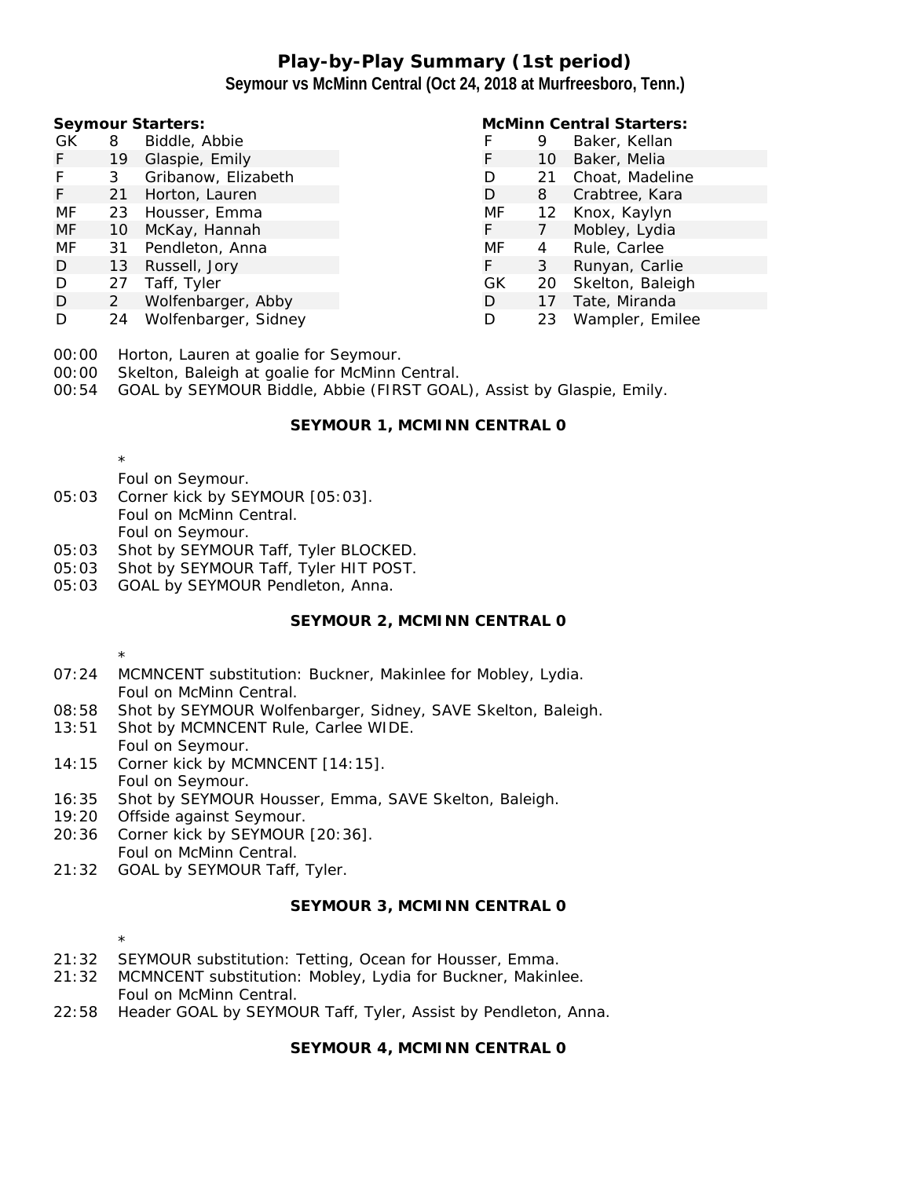## **Play-by-Play Summary (1st period) Seymour vs McMinn Central (Oct 24, 2018 at Murfreesboro, Tenn.)**

| Seymour Starters: |                |                      |  | <b>McMinn Central Starters:</b> |    |                  |  |
|-------------------|----------------|----------------------|--|---------------------------------|----|------------------|--|
| GK.               | 8              | Biddle, Abbie        |  |                                 | 9  | Baker, Kellan    |  |
| F.                | 19             | Glaspie, Emily       |  |                                 | 10 | Baker, Melia     |  |
| F                 | 3              | Gribanow, Elizabeth  |  |                                 | 21 | Choat, Madeline  |  |
| F.                | 21             | Horton, Lauren       |  | D                               | 8  | Crabtree, Kara   |  |
| MF                |                | 23 Housser, Emma     |  | MF                              | 12 | Knox, Kaylyn     |  |
| MF                | 10             | McKay, Hannah        |  | F                               |    | Mobley, Lydia    |  |
| MF                | 31             | Pendleton, Anna      |  | MF                              | 4  | Rule, Carlee     |  |
| D                 | 13             | Russell, Jory        |  | F                               | 3  | Runyan, Carlie   |  |
| D                 | 27             | Taff, Tyler          |  | GK                              | 20 | Skelton, Baleigh |  |
| D                 | $\overline{2}$ | Wolfenbarger, Abby   |  | D                               |    | Tate, Miranda    |  |
| D                 | 24             | Wolfenbarger, Sidney |  | D                               | 23 | Wampler, Emilee  |  |

- 00:00 Horton, Lauren at goalie for Seymour.
- 00:00 Skelton, Baleigh at goalie for McMinn Central.
- 00:54 GOAL by SEYMOUR Biddle, Abbie (FIRST GOAL), Assist by Glaspie, Emily.

#### **SEYMOUR 1, MCMINN CENTRAL 0**

\*

\*

- Foul on Seymour.
- 05:03 Corner kick by SEYMOUR [05:03]. Foul on McMinn Central. Foul on Seymour.
- 05:03 Shot by SEYMOUR Taff, Tyler BLOCKED.
- 05:03 Shot by SEYMOUR Taff, Tyler HIT POST.
- 05:03 GOAL by SEYMOUR Pendleton, Anna.

### **SEYMOUR 2, MCMINN CENTRAL 0**

- 07:24 MCMNCENT substitution: Buckner, Makinlee for Mobley, Lydia. Foul on McMinn Central.
- 08:58 Shot by SEYMOUR Wolfenbarger, Sidney, SAVE Skelton, Baleigh.
- 13:51 Shot by MCMNCENT Rule, Carlee WIDE. Foul on Seymour.
- 14:15 Corner kick by MCMNCENT [14:15]. Foul on Seymour.
- 16:35 Shot by SEYMOUR Housser, Emma, SAVE Skelton, Baleigh.
- 19:20 Offside against Seymour.
- 20:36 Corner kick by SEYMOUR [20:36]. Foul on McMinn Central.
- 21:32 GOAL by SEYMOUR Taff, Tyler.

#### **SEYMOUR 3, MCMINN CENTRAL 0**

- \* 21:32 SEYMOUR substitution: Tetting, Ocean for Housser, Emma.
- 21:32 MCMNCENT substitution: Mobley, Lydia for Buckner, Makinlee. Foul on McMinn Central.
- 22:58 Header GOAL by SEYMOUR Taff, Tyler, Assist by Pendleton, Anna.

**SEYMOUR 4, MCMINN CENTRAL 0**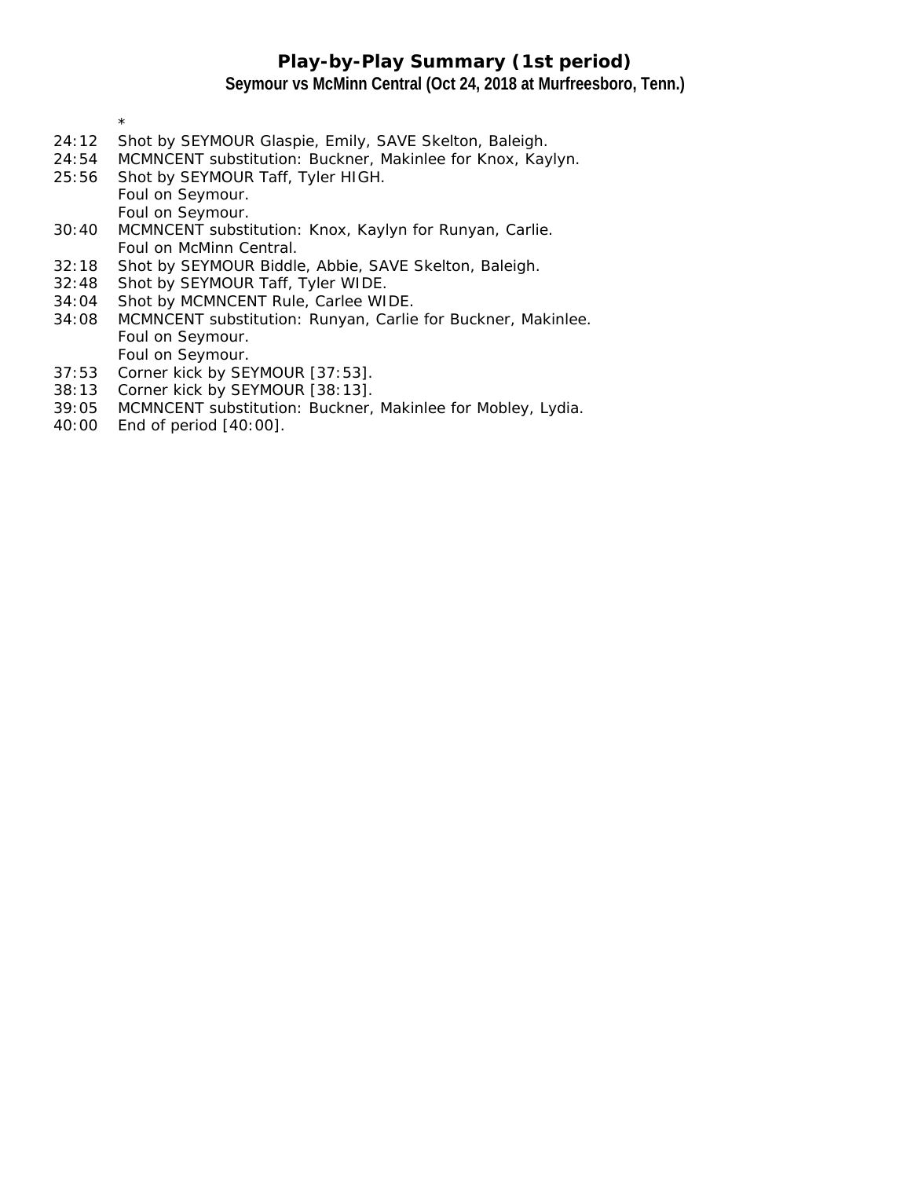## **Play-by-Play Summary (1st period) Seymour vs McMinn Central (Oct 24, 2018 at Murfreesboro, Tenn.)**

- \* 24:12 Shot by SEYMOUR Glaspie, Emily, SAVE Skelton, Baleigh.
- 24:54 MCMNCENT substitution: Buckner, Makinlee for Knox, Kaylyn.
- 25:56 Shot by SEYMOUR Taff, Tyler HIGH. Foul on Seymour. Foul on Seymour.
- 30:40 MCMNCENT substitution: Knox, Kaylyn for Runyan, Carlie. Foul on McMinn Central.
- 32:18 Shot by SEYMOUR Biddle, Abbie, SAVE Skelton, Baleigh.
- 32:48 Shot by SEYMOUR Taff, Tyler WIDE.
- 34:04 Shot by MCMNCENT Rule, Carlee WIDE.
- 34:08 MCMNCENT substitution: Runyan, Carlie for Buckner, Makinlee. Foul on Seymour.
- Foul on Seymour. 37:53 Corner kick by SEYMOUR [37:53].
- 38:13 Corner kick by SEYMOUR [38:13].
- 39:05 MCMNCENT substitution: Buckner, Makinlee for Mobley, Lydia.
- 40:00 End of period [40:00].
-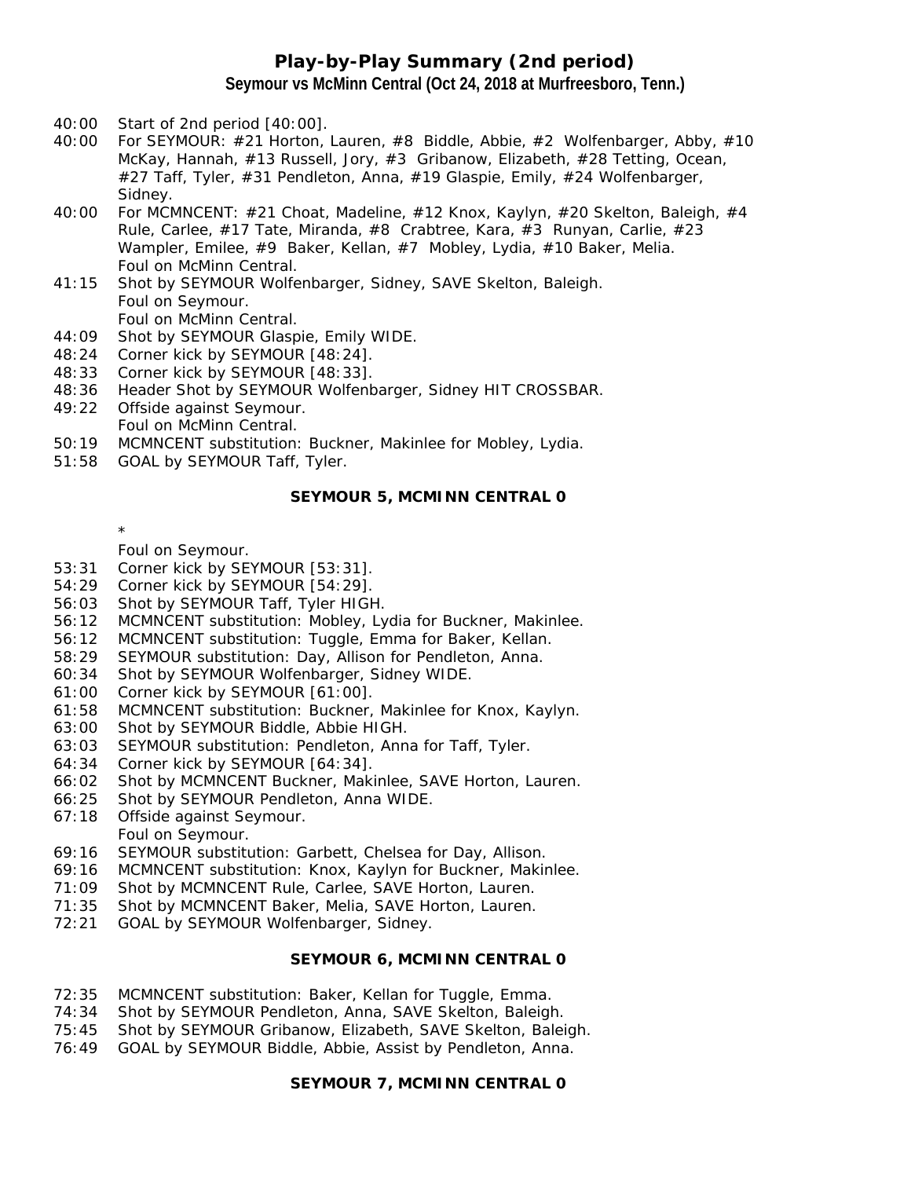### **Play-by-Play Summary (2nd period) Seymour vs McMinn Central (Oct 24, 2018 at Murfreesboro, Tenn.)**

- 40:00 Start of 2nd period [40:00].
- 40:00 For SEYMOUR: #21 Horton, Lauren, #8 Biddle, Abbie, #2 Wolfenbarger, Abby, #10 McKay, Hannah, #13 Russell, Jory, #3 Gribanow, Elizabeth, #28 Tetting, Ocean, #27 Taff, Tyler, #31 Pendleton, Anna, #19 Glaspie, Emily, #24 Wolfenbarger, Sidney.
- 40:00 For MCMNCENT: #21 Choat, Madeline, #12 Knox, Kaylyn, #20 Skelton, Baleigh, #4 Rule, Carlee, #17 Tate, Miranda, #8 Crabtree, Kara, #3 Runyan, Carlie, #23 Wampler, Emilee, #9 Baker, Kellan, #7 Mobley, Lydia, #10 Baker, Melia. Foul on McMinn Central.
- 41:15 Shot by SEYMOUR Wolfenbarger, Sidney, SAVE Skelton, Baleigh. Foul on Seymour. Foul on McMinn Central.
- 44:09 Shot by SEYMOUR Glaspie, Emily WIDE.
- 48:24 Corner kick by SEYMOUR [48:24].
- 48:33 Corner kick by SEYMOUR [48:33].
- 48:36 Header Shot by SEYMOUR Wolfenbarger, Sidney HIT CROSSBAR.
- 49:22 Offside against Seymour. Foul on McMinn Central.
- 50:19 MCMNCENT substitution: Buckner, Makinlee for Mobley, Lydia.
- 51:58 GOAL by SEYMOUR Taff, Tyler.

#### **SEYMOUR 5, MCMINN CENTRAL 0**

\*

- Foul on Seymour.
- 53:31 Corner kick by SEYMOUR [53:31].
- 54:29 Corner kick by SEYMOUR [54:29].
- 56:03 Shot by SEYMOUR Taff, Tyler HIGH.
- 56:12 MCMNCENT substitution: Mobley, Lydia for Buckner, Makinlee.
- 56:12 MCMNCENT substitution: Tuggle, Emma for Baker, Kellan.
- 58:29 SEYMOUR substitution: Day, Allison for Pendleton, Anna.
- 60:34 Shot by SEYMOUR Wolfenbarger, Sidney WIDE.
- 61:00 Corner kick by SEYMOUR [61:00].
- 61:58 MCMNCENT substitution: Buckner, Makinlee for Knox, Kaylyn.
- 63:00 Shot by SEYMOUR Biddle, Abbie HIGH.
- 63:03 SEYMOUR substitution: Pendleton, Anna for Taff, Tyler.
- 64:34 Corner kick by SEYMOUR [64:34].
- 66:02 Shot by MCMNCENT Buckner, Makinlee, SAVE Horton, Lauren.
- 66:25 Shot by SEYMOUR Pendleton, Anna WIDE.
- 67:18 Offside against Seymour. Foul on Seymour.
- 69:16 SEYMOUR substitution: Garbett, Chelsea for Day, Allison.
- 69:16 MCMNCENT substitution: Knox, Kaylyn for Buckner, Makinlee.
- 71:09 Shot by MCMNCENT Rule, Carlee, SAVE Horton, Lauren.
- 71:35 Shot by MCMNCENT Baker, Melia, SAVE Horton, Lauren.
- 72:21 GOAL by SEYMOUR Wolfenbarger, Sidney.

#### **SEYMOUR 6, MCMINN CENTRAL 0**

- 72:35 MCMNCENT substitution: Baker, Kellan for Tuggle, Emma.
- 74:34 Shot by SEYMOUR Pendleton, Anna, SAVE Skelton, Baleigh.
- 75:45 Shot by SEYMOUR Gribanow, Elizabeth, SAVE Skelton, Baleigh.
- 76:49 GOAL by SEYMOUR Biddle, Abbie, Assist by Pendleton, Anna.